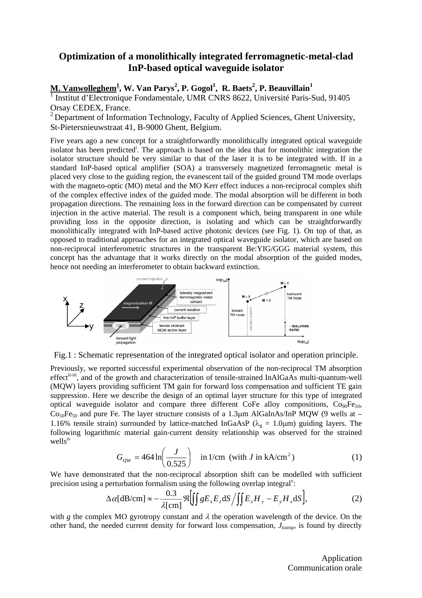## **Optimization of a monolithically integrated ferromagnetic-metal-clad InP-based optical waveguide isolator**

## $\mathbf{M}.$   $\mathbf{Vanwolleghem}^\mathbf{\underline{1}}, \mathbf{W}.$   $\mathbf{Van~Parys}^\mathbf{\underline{2}}, \mathbf{P}.$   $\mathbf{Gogol}^\mathbf{1}, \ \mathbf{R}.$   $\mathbf{Baets}^\mathbf{2}, \mathbf{P}.$   $\mathbf{Beawillain}^\mathbf{1}$

<sup>1</sup> Institut d'Electronique Fondamentale, UMR CNRS 8622, Université Paris-Sud, 91405 Orsay CEDEX, France.

<sup>2</sup> Department of Information Technology, Faculty of Applied Sciences, Ghent University, St-Pietersnieuwstraat 41, B-9000 Ghent, Belgium.

Five years ago a new concept for a straightforwardly monolithically integrated optical waveguide isolator has been predicted<sup>i</sup>[.](#page-1-0) The approach is based on the idea that for monolithic integration the isolator structure should be very similar to that of the laser it is to be integrated with. If in a standard InP-based optical amplifier (SOA) a transversely magnetized ferromagnetic metal is placed very close to the guiding region, the evanescent tail of the guided ground TM mode overlaps with the magneto-optic (MO) metal and the MO Kerr effect induces a non-reciprocal complex shift of the complex effective index of the guided mode. The modal absorption will be different in both propagation directions. The remaining loss in the forward direction can be compensated by current injection in the active material. The result is a component which, being transparent in one while providing loss in the opposite direction, is isolating and which can be straightforwardly monolithically integrated with InP-based active photonic devices (see Fig. 1). On top of that, as opposed to traditional approaches for an integrated optical waveguide isolator, which are based on non-reciprocal interferometric structures in the transparent Be:YIG/GGG material system, this concept has the advantage that it works directly on the modal absorption of the guided modes, hence not needing an interferometer to obtain backward extinction.



Fig.1 : Schematic representation of the integrated optical isolator and operation principle.

Previously, we reported successful experimental observation of the non-reciprocal TM absorption effect<sup>[ii-](#page-1-1)iii</sup>, and of the growth and characterization of tensile-strained InAlGaAs multi-quantum-well (MQW) layers providing sufficient TM gain for forward loss compensation and sufficient TE gain suppressio[n.](#page-0-0) Here we describe the design of an optimal layer structure for this type of integrated optical waveguide isolator and compare three different CoFe alloy compositions,  $Co<sub>90</sub>Fe<sub>10</sub>$ ,  $Co<sub>50</sub>Fe<sub>50</sub>$  and pure Fe. The layer structure consists of a 1.3µm AlGaInAs/InP MQW (9 wells at – 1.16% tensile strain) surrounded by lattice-matched InGaAsP ( $\lambda_{\varphi} = 1.0 \mu m$ ) guiding layers. The following logarithmic material gain-current density relationship was observed for the strained wells[iv](#page-1-3)

$$
G_{\text{QW}} = 464 \ln \left( \frac{J}{0.525} \right) \quad \text{in 1/cm (with } J \text{ in kA/cm}^2)
$$
 (1)

<span id="page-0-0"></span>We have demonstrated that the non-reciprocal absorption shift can be modelled with sufficient precision using a perturbation formalism using the following overlap integral<sup> $v$ </sup>:

$$
\Delta \alpha [\text{dB/cm}] \approx -\frac{0.3}{\lambda [\text{cm}]} \Re \left[ \iint g E_x E_z \, \text{d}S \left/ \iint E_x H_y - E_y H_x \, \text{d}S \right] \right],\tag{2}
$$

with *g* the complex MO gyrotropy constant and  $\lambda$  the operation wavelength of the device. On the other hand, the needed current density for forward loss compensation,  $J_{transp}$ , is found by directly

> Application Communication orale